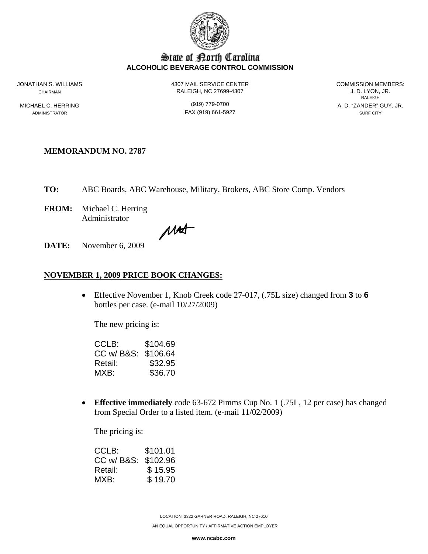

# State of Borth Carolina **ALCOHOLIC BEVERAGE CONTROL COMMISSION**

JONATHAN S. WILLIAMS 4307 MAIL SERVICE CENTER COMMISSION MEMBERS: CHAIRMAN RALEIGH, NC 27699-4307 J. D. LYON, JR.

ADMINISTRATOR SURF CITY CONTROL CONTROL CONTROL CONTROL CONTROL CONTROL CONTROL CONTROL CONTROL CONTROL CONTROL CONTROL CONTROL CONTROL CONTROL CONTROL CONTROL CONTROL CONTROL CONTROL CONTROL CONTROL CONTROL CONTROL CONTRO

**RALEIGH RALEIGH** MICHAEL C. HERRING **Alternative CONTROLL CONTROLL CONTROLLY A. D. "ZANDER" GUY, JR.** A. D. "ZANDER" GUY, JR.

### **MEMORANDUM NO. 2787**

**TO:** ABC Boards, ABC Warehouse, Military, Brokers, ABC Store Comp. Vendors

**FROM:** Michael C. Herring Administrator

MAS

**DATE:** November 6, 2009

#### **NOVEMBER 1, 2009 PRICE BOOK CHANGES:**

• Effective November 1, Knob Creek code 27-017, (.75L size) changed from **3** to **6** bottles per case. (e-mail 10/27/2009)

The new pricing is:

| CCLB:               | \$104.69 |
|---------------------|----------|
| CC w/ B&S: \$106.64 |          |
| Retail:             | \$32.95  |
| MXB:                | \$36.70  |

• **Effective immediately** code 63-672 Pimms Cup No. 1 (.75L, 12 per case) has changed from Special Order to a listed item. (e-mail 11/02/2009)

The pricing is:

| CCLB:               | \$101.01 |
|---------------------|----------|
| CC w/ B&S: \$102.96 |          |
| Retail:             | \$15.95  |
| MXB:                | \$19.70  |

LOCATION: 3322 GARNER ROAD, RALEIGH, NC 27610

AN EQUAL OPPORTUNITY / AFFIRMATIVE ACTION EMPLOYER

**www.ncabc.com**